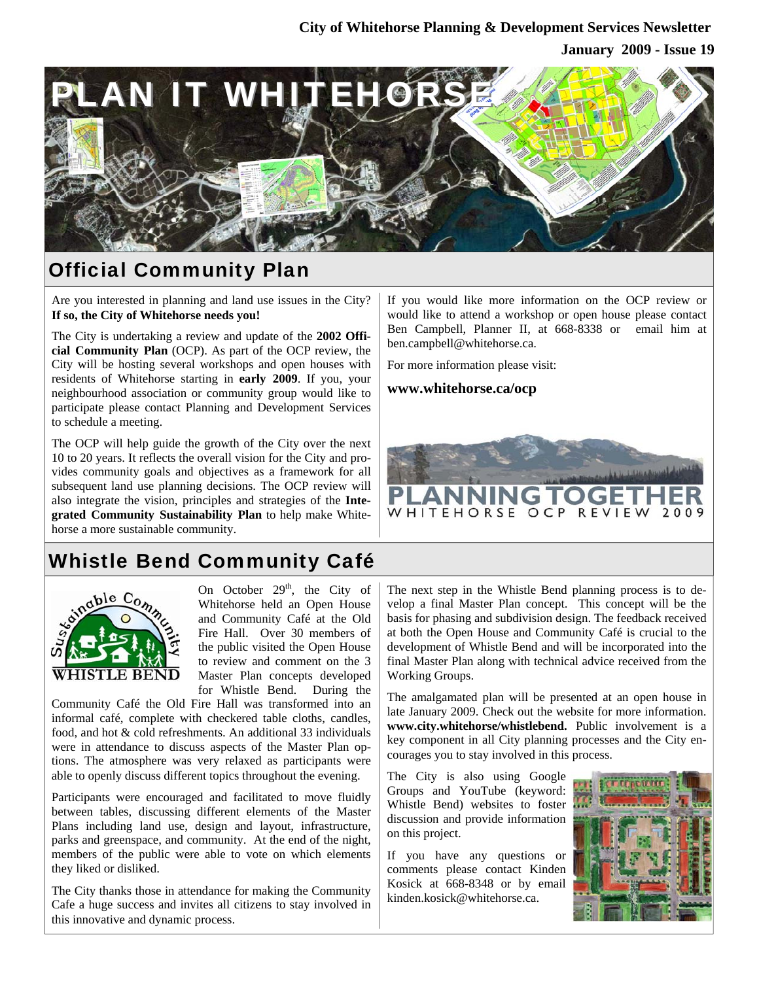### **City of Whitehorse Planning & Development Services Newsletter**

### **January 2009 - Issue 19**



## Official Community Plan

Are you interested in planning and land use issues in the City? **If so, the City of Whitehorse needs you!** 

The City is undertaking a review and update of the **2002 Official Community Plan** (OCP). As part of the OCP review, the City will be hosting several workshops and open houses with residents of Whitehorse starting in **early 2009**. If you, your neighbourhood association or community group would like to participate please contact Planning and Development Services to schedule a meeting.

The OCP will help guide the growth of the City over the next 10 to 20 years. It reflects the overall vision for the City and provides community goals and objectives as a framework for all subsequent land use planning decisions. The OCP review will also integrate the vision, principles and strategies of the **Integrated Community Sustainability Plan** to help make Whitehorse a more sustainable community.

If you would like more information on the OCP review or would like to attend a workshop or open house please contact Ben Campbell, Planner II, at 668-8338 or email him at ben.campbell@whitehorse.ca.

For more information please visit:

**www.whitehorse.ca/ocp**



# Whistle Bend Community Café



On October  $29<sup>th</sup>$ , the City of Whitehorse held an Open House and Community Café at the Old Fire Hall. Over 30 members of the public visited the Open House to review and comment on the 3 Master Plan concepts developed for Whistle Bend. During the

Community Café the Old Fire Hall was transformed into an informal café, complete with checkered table cloths, candles, food, and hot & cold refreshments. An additional 33 individuals were in attendance to discuss aspects of the Master Plan options. The atmosphere was very relaxed as participants were able to openly discuss different topics throughout the evening.

Participants were encouraged and facilitated to move fluidly between tables, discussing different elements of the Master Plans including land use, design and layout, infrastructure, parks and greenspace, and community. At the end of the night, members of the public were able to vote on which elements they liked or disliked.

The City thanks those in attendance for making the Community Cafe a huge success and invites all citizens to stay involved in this innovative and dynamic process.

The next step in the Whistle Bend planning process is to develop a final Master Plan concept. This concept will be the basis for phasing and subdivision design. The feedback received at both the Open House and Community Café is crucial to the development of Whistle Bend and will be incorporated into the final Master Plan along with technical advice received from the Working Groups.

The amalgamated plan will be presented at an open house in late January 2009. Check out the website for more information. **www.city.whitehorse/whistlebend.** Public involvement is a key component in all City planning processes and the City encourages you to stay involved in this process.

The City is also using Google Groups and YouTube (keyword: Whistle Bend) websites to foster discussion and provide information on this project.

If you have any questions or comments please contact Kinden Kosick at 668-8348 or by email kinden.kosick@whitehorse.ca.